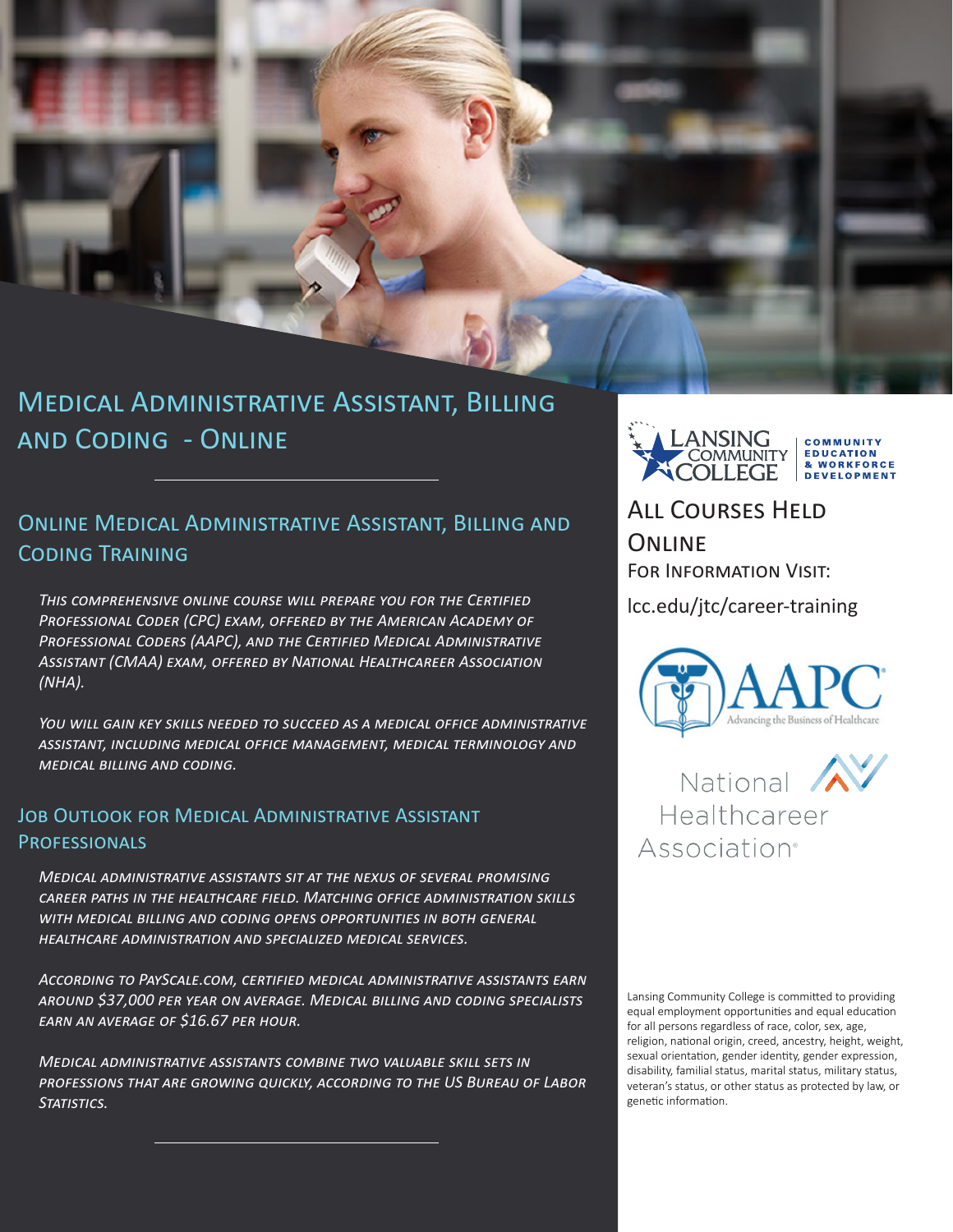

# Medical Administrative Assistant, Billing and Coding - Online

### Online Medical Administrative Assistant, Billing and Coding Training

*This comprehensive online course will prepare you for the Certified*  PROFESSIONAL CODER (CPC) EXAM, OFFERED BY THE AMERICAN ACADEMY OF *Professional Coders (AAPC), and the Certified Medical Administrative Assistant (CMAA) exam, offered by National Healthcareer Association (NHA).* 

*You will gain key skills needed to succeed as a medical office administrative assistant, including medical office management, medical terminology and medical billing and coding.*

### Job Outlook for Medical Administrative Assistant **PROFESSIONALS**

*Medical administrative assistants sit at the nexus of several promising career paths in the healthcare field. Matching office administration skills with medical billing and coding opens opportunities in both general healthcare administration and specialized medical services.*

*According to PayScale.com, certified medical administrative assistants earn around \$37,000 per year on average. Medical billing and coding specialists earn an average of \$16.67 per hour.*

*Medical administrative assistants combine two valuable skill sets in professions that are growing quickly, according to the US Bureau of Labor Statistics.*



### All Courses Held **ONLINE** For Information Visit:

lcc.edu/jtc/career-training



National AV Healthcareer Association®

Lansing Community College is committed to providing equal employment opportunities and equal education for all persons regardless of race, color, sex, age, religion, national origin, creed, ancestry, height, weight, sexual orientation, gender identity, gender expression, disability, familial status, marital status, military status, veteran's status, or other status as protected by law, or genetic information.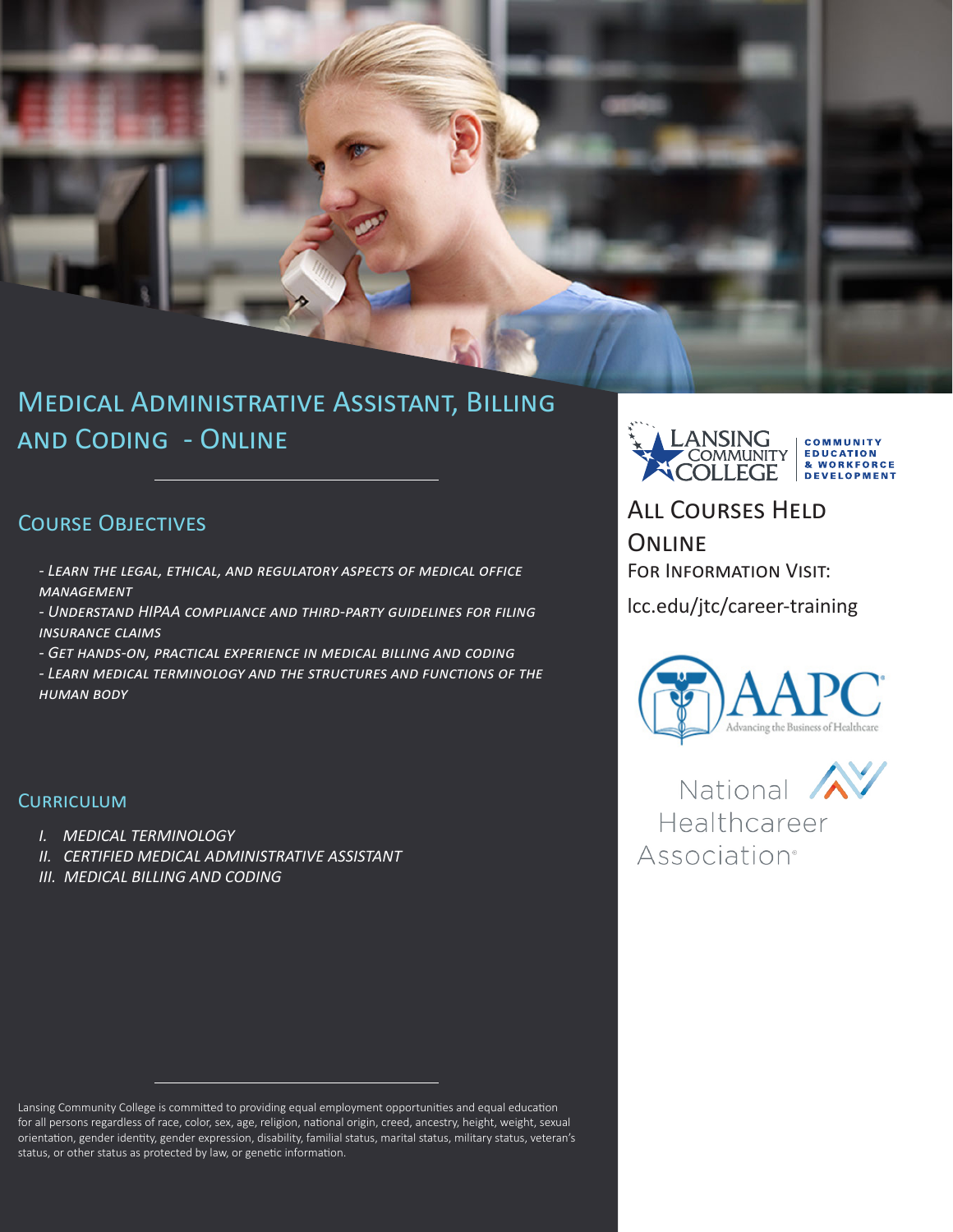

# Medical Administrative Assistant, Billing and Coding - Online

### COURSE OBJECTIVES

- *Learn the legal, ethical, and regulatory aspects of medical office management*
- *Understand HIPAA compliance and third-party guidelines for filing insurance claims*
- *Get hands-on, practical experience in medical billing and coding*
- *Learn medical terminology and the structures and functions of the human body*

#### **CURRICULUM**

- *I. MEDICAL TERMINOLOGY*
- *II. CERTIFIED MEDICAL ADMINISTRATIVE ASSISTANT*
- *III. MEDICAL BILLING AND CODING*

Lansing Community College is committed to providing equal employment opportunities and equal education for all persons regardless of race, color, sex, age, religion, national origin, creed, ancestry, height, weight, sexual orientation, gender identity, gender expression, disability, familial status, marital status, military status, veteran's status, or other status as protected by law, or genetic information.



## All Courses Held **ONLINE**

For Information Visit:

lcc.edu/jtc/career-training



National  $\Lambda$ Healthcareer **Association**<sup>®</sup>